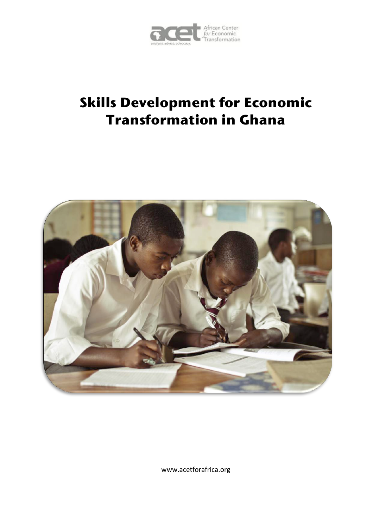

# **Skills Development for Economic Transformation in Ghana**



www.acetforafrica.org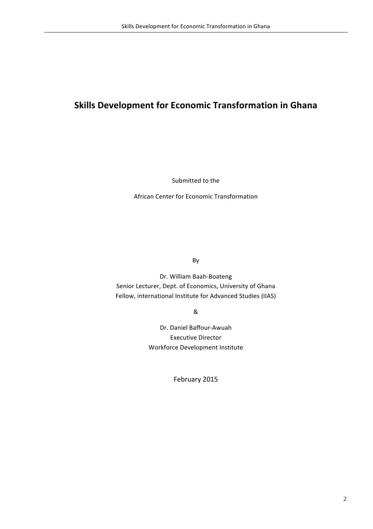## **Skills Development for Economic Transformation in Ghana**

Submitted to the

African Center for Economic Transformation

By

Dr. William Baah-Boateng Senior Lecturer, Dept. of Economics, University of Ghana Fellow, international Institute for Advanced Studies (IIAS)

&

Dr. Daniel Baffour-Awuah Executive Director Workforce Development Institute

February 2015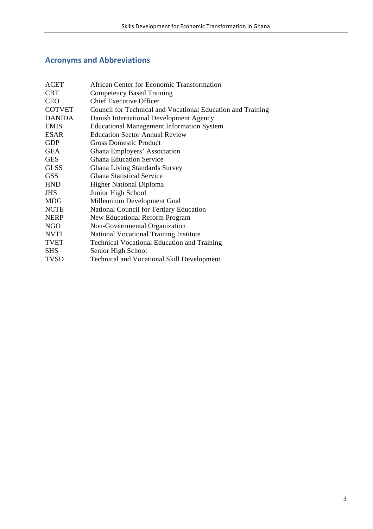## **Acronyms and Abbreviations**

| <b>ACET</b>   | African Center for Economic Transformation                  |
|---------------|-------------------------------------------------------------|
| <b>CBT</b>    | <b>Competency Based Training</b>                            |
| <b>CEO</b>    | <b>Chief Executive Officer</b>                              |
| <b>COTVET</b> | Council for Technical and Vocational Education and Training |
| <b>DANIDA</b> | Danish International Development Agency                     |
| <b>EMIS</b>   | <b>Educational Management Information System</b>            |
| <b>ESAR</b>   | <b>Education Sector Annual Review</b>                       |
| <b>GDP</b>    | <b>Gross Domestic Product</b>                               |
| <b>GEA</b>    | Ghana Employers' Association                                |
| <b>GES</b>    | <b>Ghana Education Service</b>                              |
| <b>GLSS</b>   | <b>Ghana Living Standards Survey</b>                        |
| <b>GSS</b>    | <b>Ghana Statistical Service</b>                            |
| <b>HND</b>    | <b>Higher National Diploma</b>                              |
| <b>JHS</b>    | Junior High School                                          |
| <b>MDG</b>    | Millennium Development Goal                                 |
| <b>NCTE</b>   | <b>National Council for Tertiary Education</b>              |
| <b>NERP</b>   | New Educational Reform Program                              |
| <b>NGO</b>    | Non-Governmental Organization                               |
| <b>NVTI</b>   | National Vocational Training Institute                      |
| <b>TVET</b>   | <b>Technical Vocational Education and Training</b>          |
| <b>SHS</b>    | Senior High School                                          |
| <b>TVSD</b>   | Technical and Vocational Skill Development                  |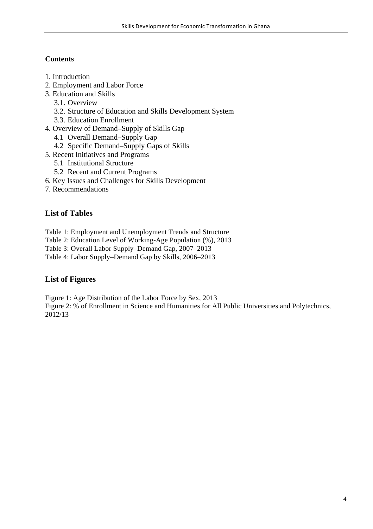## **Contents**

- 1. Introduction
- 2. Employment and Labor Force
- 3. Education and Skills
	- 3.1. Overview
	- 3.2. Structure of Education and Skills Development System
	- 3.3. Education Enrollment
- 4. Overview of Demand–Supply of Skills Gap
	- 4.1 Overall Demand–Supply Gap
	- 4.2 Specific Demand–Supply Gaps of Skills
- 5. Recent Initiatives and Programs
	- 5.1 Institutional Structure
	- 5.2 Recent and Current Programs
- 6. Key Issues and Challenges for Skills Development
- 7. Recommendations

## **List of Tables**

- Table 1: Employment and Unemployment Trends and Structure
- Table 2: Education Level of Working-Age Population (%), 2013
- Table 3: Overall Labor Supply–Demand Gap, 2007–2013
- Table 4: Labor Supply–Demand Gap by Skills, 2006–2013

## **List of Figures**

Figure 1: Age Distribution of the Labor Force by Sex, 2013

Figure 2: % of Enrollment in Science and Humanities for All Public Universities and Polytechnics, 2012/13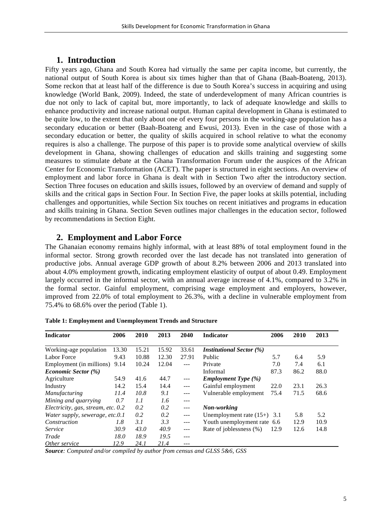## **1. Introduction**

Fifty years ago, Ghana and South Korea had virtually the same per capita income, but currently, the national output of South Korea is about six times higher than that of Ghana (Baah-Boateng, 2013). Some reckon that at least half of the difference is due to South Korea's success in acquiring and using knowledge (World Bank, 2009). Indeed, the state of underdevelopment of many African countries is due not only to lack of capital but, more importantly, to lack of adequate knowledge and skills to enhance productivity and increase national output. Human capital development in Ghana is estimated to be quite low, to the extent that only about one of every four persons in the working-age population has a secondary education or better (Baah-Boateng and Ewusi, 2013). Even in the case of those with a secondary education or better, the quality of skills acquired in school relative to what the economy requires is also a challenge. The purpose of this paper is to provide some analytical overview of skills development in Ghana, showing challenges of education and skills training and suggesting some measures to stimulate debate at the Ghana Transformation Forum under the auspices of the African Center for Economic Transformation (ACET). The paper is structured in eight sections. An overview of employment and labor force in Ghana is dealt with in Section Two after the introductory section. Section Three focuses on education and skills issues, followed by an overview of demand and supply of skills and the critical gaps in Section Four. In Section Five, the paper looks at skills potential, including challenges and opportunities, while Section Six touches on recent initiatives and programs in education and skills training in Ghana. Section Seven outlines major challenges in the education sector, followed by recommendations in Section Eight.

## **2. Employment and Labor Force**

The Ghanaian economy remains highly informal, with at least 88% of total employment found in the informal sector. Strong growth recorded over the last decade has not translated into generation of productive jobs. Annual average GDP growth of about 8.2% between 2006 and 2013 translated into about 4.0% employment growth, indicating employment elasticity of output of about 0.49. Employment largely occurred in the informal sector, with an annual average increase of 4.1%, compared to 3.2% in the formal sector. Gainful employment, comprising wage employment and employers, however, improved from 22.0% of total employment to 26.3%, with a decline in vulnerable employment from 75.4% to 68.6% over the period (Table 1).

| <b>Indicator</b>                   | 2006  | 2010  | 2013  | 2040    | <b>Indicator</b>                | 2006 | 2010 | 2013 |
|------------------------------------|-------|-------|-------|---------|---------------------------------|------|------|------|
| Working-age population             | 13.30 | 15.21 | 15.92 | 33.61   | <b>Institutional Sector (%)</b> |      |      |      |
| Labor Force                        | 9.43  | 10.88 | 12.30 | 27.91   | Public                          | 5.7  | 6.4  | 5.9  |
| Employment (in millions)           | 9.14  | 10.24 | 12.04 | $---$   | Private                         | 7.0  | 7.4  | 6.1  |
| <i>Economic Sector</i> (%)         |       |       |       |         | Informal                        | 87.3 | 86.2 | 88.0 |
| Agriculture                        | 54.9  | 41.6  | 44.7  | $---$   | <b>Employment Type</b> (%)      |      |      |      |
| Industry                           | 14.2  | 15.4  | 14.4  | $---$   | Gainful employment              | 22.0 | 23.1 | 26.3 |
| <b>Manufacturing</b>               | 11.4  | 10.8  | 9.1   | $- - -$ | Vulnerable employment           | 75.4 | 71.5 | 68.6 |
| Mining and quarrying               | 0.7   | 1.1   | 1.6   | $---$   |                                 |      |      |      |
| Electricity, gas, stream, etc. 0.2 |       | 0.2   | 0.2   | $- - -$ | Non-working                     |      |      |      |
| Water supply, sewerage, etc.0.1    |       | 0.2   | 0.2   | $---$   | Unemployment rate $(15+)$ 3.1   |      | 5.8  | 5.2  |
| Construction                       | 1.8   | 3.1   | 3.3   | $---$   | Youth unemployment rate 6.6     |      | 12.9 | 10.9 |
| Service                            | 30.9  | 43.0  | 40.9  | $---$   | Rate of joblessness (%)         | 12.9 | 12.6 | 14.8 |
| Trade                              | 18.0  | 18.9  | 19.5  | $---$   |                                 |      |      |      |
| Other service                      | 12.9  | 24.1  | 21.4  |         |                                 |      |      |      |

**Table 1: Employment and Unemployment Trends and Structure**

*Source: Computed and/or compiled by author from census and GLSS 5&6, GSS*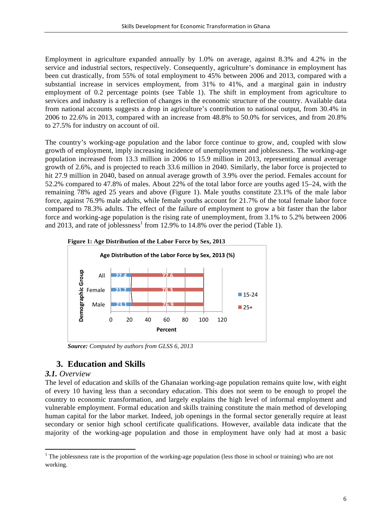Employment in agriculture expanded annually by 1.0% on average, against 8.3% and 4.2% in the service and industrial sectors, respectively. Consequently, agriculture's dominance in employment has been cut drastically, from 55% of total employment to 45% between 2006 and 2013, compared with a substantial increase in services employment, from 31% to 41%, and a marginal gain in industry employment of 0.2 percentage points (see Table 1). The shift in employment from agriculture to services and industry is a reflection of changes in the economic structure of the country. Available data from national accounts suggests a drop in agriculture's contribution to national output, from 30.4% in 2006 to 22.6% in 2013, compared with an increase from 48.8% to 50.0% for services, and from 20.8% to 27.5% for industry on account of oil.

The country's working-age population and the labor force continue to grow, and, coupled with slow growth of employment, imply increasing incidence of unemployment and joblessness. The working-age population increased from 13.3 million in 2006 to 15.9 million in 2013, representing annual average growth of 2.6%, and is projected to reach 33.6 million in 2040. Similarly, the labor force is projected to hit 27.9 million in 2040, based on annual average growth of 3.9% over the period. Females account for 52.2% compared to 47.8% of males. About 22% of the total labor force are youths aged 15–24, with the remaining 78% aged 25 years and above (Figure 1). Male youths constitute 23.1% of the male labor force, against 76.9% male adults, while female youths account for 21.7% of the total female labor force compared to 78.3% adults. The effect of the failure of employment to grow a bit faster than the labor force and working-age population is the rising rate of unemployment, from 3.1% to 5.2% between 2006 and 2013, and rate of joblessness<sup>1</sup> from 12.9% to 14.8% over the period (Table 1).



*Source: Computed by authors from GLSS 6, 2013*

## **3. Education and Skills**

 

## *3.1. Overview*

The level of education and skills of the Ghanaian working-age population remains quite low, with eight of every 10 having less than a secondary education. This does not seem to be enough to propel the country to economic transformation, and largely explains the high level of informal employment and vulnerable employment. Formal education and skills training constitute the main method of developing human capital for the labor market. Indeed, job openings in the formal sector generally require at least secondary or senior high school certificate qualifications. However, available data indicate that the majority of the working-age population and those in employment have only had at most a basic

 $1$  The joblessness rate is the proportion of the working-age population (less those in school or training) who are not working.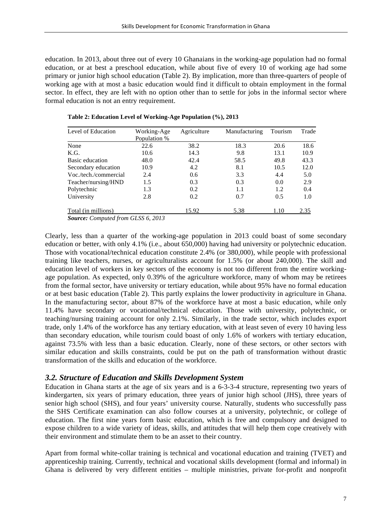education. In 2013, about three out of every 10 Ghanaians in the working-age population had no formal education, or at best a preschool education, while about five of every 10 of working age had some primary or junior high school education (Table 2). By implication, more than three-quarters of people of working age with at most a basic education would find it difficult to obtain employment in the formal sector. In effect, they are left with no option other than to settle for jobs in the informal sector where formal education is not an entry requirement.

| Level of Education    | Working-Age  | Agriculture   | Manufacturing | Tourism | Trade |
|-----------------------|--------------|---------------|---------------|---------|-------|
|                       | Population % |               |               |         |       |
| None                  | 22.6         | 38.2          | 18.3          | 20.6    | 18.6  |
| K.G.                  | 10.6         | 14.3          | 9.8           | 13.1    | 10.9  |
| Basic education       | 48.0         | 42.4          | 58.5          | 49.8    | 43.3  |
| Secondary education   | 10.9         | 4.2           | 8.1           | 10.5    | 12.0  |
| Voc./tech./commercial | 2.4          | $0.6^{\circ}$ | 3.3           | 4.4     | 5.0   |
| Teacher/nursing/HND   | 1.5          | 0.3           | 0.3           | 0.0     | 2.9   |
| Polytechnic           | 1.3          | 0.2           | 1.1           | 1.2     | 0.4   |
| University            | 2.8          | 0.2           | 0.7           | 0.5     | 1.0   |
| Total (in millions)   |              | 15.92         | 5.38          | 1.10    | 2.35  |

**Table 2: Education Level of Working-Age Population (%), 2013**

*Source: Computed from GLSS 6, 2013*

Clearly, less than a quarter of the working-age population in 2013 could boast of some secondary education or better, with only 4.1% (i.e., about 650,000) having had university or polytechnic education. Those with vocational/technical education constitute 2.4% (or 380,000), while people with professional training like teachers, nurses, or agriculturalists account for 1.5% (or about 240,000). The skill and education level of workers in key sectors of the economy is not too different from the entire workingage population. As expected, only 0.39% of the agriculture workforce, many of whom may be retirees from the formal sector, have university or tertiary education, while about 95% have no formal education or at best basic education (Table 2). This partly explains the lower productivity in agriculture in Ghana. In the manufacturing sector, about 87% of the workforce have at most a basic education, while only 11.4% have secondary or vocational/technical education. Those with university, polytechnic, or teaching/nursing training account for only 2.1%. Similarly, in the trade sector, which includes export trade, only 1.4% of the workforce has any tertiary education, with at least seven of every 10 having less than secondary education, while tourism could boast of only 1.6% of workers with tertiary education, against 73.5% with less than a basic education. Clearly, none of these sectors, or other sectors with similar education and skills constraints, could be put on the path of transformation without drastic transformation of the skills and education of the workforce.

## *3.2. Structure of Education and Skills Development System*

Education in Ghana starts at the age of six years and is a 6-3-3-4 structure, representing two years of kindergarten, six years of primary education, three years of junior high school (JHS), three years of senior high school (SHS), and four years' university course. Naturally, students who successfully pass the SHS Certificate examination can also follow courses at a university, polytechnic, or college of education. The first nine years form basic education, which is free and compulsory and designed to expose children to a wide variety of ideas, skills, and attitudes that will help them cope creatively with their environment and stimulate them to be an asset to their country.

Apart from formal white-collar training is technical and vocational education and training (TVET) and apprenticeship training. Currently, technical and vocational skills development (formal and informal) in Ghana is delivered by very different entities – multiple ministries, private for-profit and nonprofit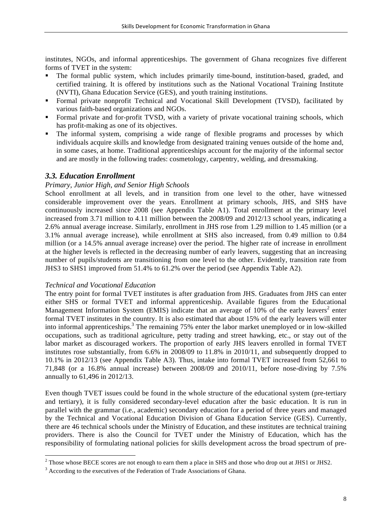institutes, NGOs, and informal apprenticeships. The government of Ghana recognizes five different forms of TVET in the system:

- The formal public system, which includes primarily time-bound, institution-based, graded, and certified training. It is offered by institutions such as the National Vocational Training Institute (NVTI), Ghana Education Service (GES), and youth training institutions.
- § Formal private nonprofit Technical and Vocational Skill Development (TVSD), facilitated by various faith-based organizations and NGOs.
- Formal private and for-profit TVSD, with a variety of private vocational training schools, which has profit-making as one of its objectives.
- The informal system, comprising a wide range of flexible programs and processes by which individuals acquire skills and knowledge from designated training venues outside of the home and, in some cases, at home. Traditional apprenticeships account for the majority of the informal sector and are mostly in the following trades: cosmetology, carpentry, welding, and dressmaking.

#### *3.3. Education Enrollment*

#### *Primary, Junior High, and Senior High Schools*

School enrollment at all levels, and in transition from one level to the other, have witnessed considerable improvement over the years. Enrollment at primary schools, JHS, and SHS have continuously increased since 2008 (see Appendix Table A1). Total enrollment at the primary level increased from 3.71 million to 4.11 million between the 2008/09 and 2012/13 school years, indicating a 2.6% annual average increase. Similarly, enrollment in JHS rose from 1.29 million to 1.45 million (or a 3.1% annual average increase), while enrollment at SHS also increased, from 0.49 million to 0.84 million (or a 14.5% annual average increase) over the period. The higher rate of increase in enrollment at the higher levels is reflected in the decreasing number of early leavers, suggesting that an increasing number of pupils/students are transitioning from one level to the other. Evidently, transition rate from JHS3 to SHS1 improved from 51.4% to 61.2% over the period (see Appendix Table A2).

#### *Technical and Vocational Education*

<u> 1989 - Jan Samuel Barbara, margaret e</u>

The entry point for formal TVET institutes is after graduation from JHS. Graduates from JHS can enter either SHS or formal TVET and informal apprenticeship. Available figures from the Educational Management Information System (EMIS) indicate that an average of 10% of the early leavers<sup>2</sup> enter formal TVET institutes in the country. It is also estimated that about 15% of the early leavers will enter into informal apprenticeships.<sup>3</sup> The remaining 75% enter the labor market unemployed or in low-skilled occupations, such as traditional agriculture, petty trading and street hawking, etc., or stay out of the labor market as discouraged workers. The proportion of early JHS leavers enrolled in formal TVET institutes rose substantially, from 6.6% in 2008/09 to 11.8% in 2010/11, and subsequently dropped to 10.1% in 2012/13 (see Appendix Table A3). Thus, intake into formal TVET increased from 52,661 to 71,848 (or a 16.8% annual increase) between 2008/09 and 2010/11, before nose-diving by 7.5% annually to 61,496 in 2012/13.

Even though TVET issues could be found in the whole structure of the educational system (pre-tertiary and tertiary), it is fully considered secondary-level education after the basic education. It is run in parallel with the grammar (i.e., academic) secondary education for a period of three years and managed by the Technical and Vocational Education Division of Ghana Education Service (GES). Currently, there are 46 technical schools under the Ministry of Education, and these institutes are technical training providers. There is also the Council for TVET under the Ministry of Education, which has the responsibility of formulating national policies for skills development across the broad spectrum of pre-

<sup>&</sup>lt;sup>2</sup> Those whose BECE scores are not enough to earn them a place in SHS and those who drop out at JHS1 or JHS2.

<sup>&</sup>lt;sup>3</sup> According to the executives of the Federation of Trade Associations of Ghana.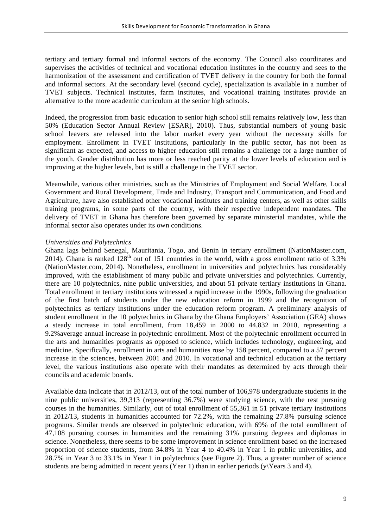tertiary and tertiary formal and informal sectors of the economy. The Council also coordinates and supervises the activities of technical and vocational education institutes in the country and sees to the harmonization of the assessment and certification of TVET delivery in the country for both the formal and informal sectors. At the secondary level (second cycle), specialization is available in a number of TVET subjects. Technical institutes, farm institutes, and vocational training institutes provide an alternative to the more academic curriculum at the senior high schools.

Indeed, the progression from basic education to senior high school still remains relatively low, less than 50% (Education Sector Annual Review [ESAR], 2010). Thus, substantial numbers of young basic school leavers are released into the labor market every year without the necessary skills for employment. Enrollment in TVET institutions, particularly in the public sector, has not been as significant as expected, and access to higher education still remains a challenge for a large number of the youth. Gender distribution has more or less reached parity at the lower levels of education and is improving at the higher levels, but is still a challenge in the TVET sector.

Meanwhile, various other ministries, such as the Ministries of Employment and Social Welfare, Local Government and Rural Development, Trade and Industry, Transport and Communication, and Food and Agriculture, have also established other vocational institutes and training centers, as well as other skills training programs, in some parts of the country, with their respective independent mandates. The delivery of TVET in Ghana has therefore been governed by separate ministerial mandates, while the informal sector also operates under its own conditions.

#### *Universities and Polytechnics*

Ghana lags behind Senegal, Mauritania, Togo, and Benin in tertiary enrollment (NationMaster.com, 2014). Ghana is ranked  $128<sup>th</sup>$  out of 151 countries in the world, with a gross enrollment ratio of 3.3% (NationMaster.com, 2014). Nonetheless, enrollment in universities and polytechnics has considerably improved, with the establishment of many public and private universities and polytechnics. Currently, there are 10 polytechnics, nine public universities, and about 51 private tertiary institutions in Ghana. Total enrollment in tertiary institutions witnessed a rapid increase in the 1990s, following the graduation of the first batch of students under the new education reform in 1999 and the recognition of polytechnics as tertiary institutions under the education reform program. A preliminary analysis of student enrollment in the 10 polytechnics in Ghana by the Ghana Employers' Association (GEA) shows a steady increase in total enrollment, from 18,459 in 2000 to 44,832 in 2010, representing a 9.2%average annual increase in polytechnic enrollment. Most of the polytechnic enrollment occurred in the arts and humanities programs as opposed to science, which includes technology, engineering, and medicine. Specifically, enrollment in arts and humanities rose by 158 percent, compared to a 57 percent increase in the sciences, between 2001 and 2010. In vocational and technical education at the tertiary level, the various institutions also operate with their mandates as determined by acts through their councils and academic boards.

Available data indicate that in 2012/13, out of the total number of 106,978 undergraduate students in the nine public universities, 39,313 (representing 36.7%) were studying science, with the rest pursuing courses in the humanities. Similarly, out of total enrollment of 55,361 in 51 private tertiary institutions in 2012/13, students in humanities accounted for 72.2%, with the remaining 27.8% pursuing science programs. Similar trends are observed in polytechnic education, with 69% of the total enrollment of 47,108 pursuing courses in humanities and the remaining 31% pursuing degrees and diplomas in science. Nonetheless, there seems to be some improvement in science enrollment based on the increased proportion of science students, from 34.8% in Year 4 to 40.4% in Year 1 in public universities, and 28.7% in Year 3 to 33.1% in Year 1 in polytechnics (see Figure 2). Thus, a greater number of science students are being admitted in recent years (Year 1) than in earlier periods (y\Years 3 and 4).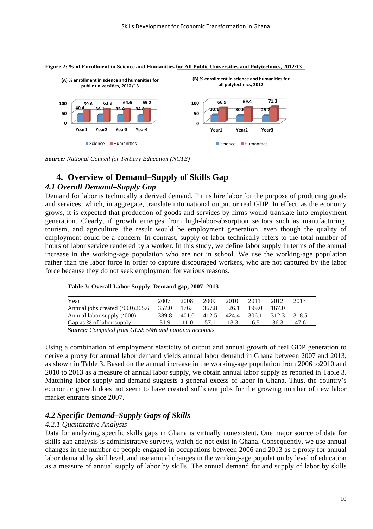

**Figure 2: % of Enrollment in Science and Humanities for All Public Universities and Polytechnics, 2012/13**

*Source: National Council for Tertiary Education (NCTE)*

## **4. Overview of Demand–Supply of Skills Gap**

## *4.1 Overall Demand***–***Supply Gap*

Demand for labor is technically a derived demand. Firms hire labor for the purpose of producing goods and services, which, in aggregate, translate into national output or real GDP. In effect, as the economy grows, it is expected that production of goods and services by firms would translate into employment generation. Clearly, if growth emerges from high-labor-absorption sectors such as manufacturing, tourism, and agriculture, the result would be employment generation, even though the quality of employment could be a concern. In contrast, supply of labor technically refers to the total number of hours of labor service rendered by a worker. In this study, we define labor supply in terms of the annual increase in the working-age population who are not in school. We use the working-age population rather than the labor force in order to capture discouraged workers, who are not captured by the labor force because they do not seek employment for various reasons.

| Table 3: Overall Labor Supply–Demand gap, 2007–2013 |  |  |  |  |  |  |
|-----------------------------------------------------|--|--|--|--|--|--|
|-----------------------------------------------------|--|--|--|--|--|--|

| Year                                            | 2007  | 2008        | 2009        | 2010        | 2011   | 2012  | 2013  |  |
|-------------------------------------------------|-------|-------------|-------------|-------------|--------|-------|-------|--|
| Annual jobs created ('000)265.6                 |       | 357.0 176.8 | 367.8 326.1 |             | 199.0  | 167.0 |       |  |
| Annual labor supply ('000)                      | 389.8 | 401.0       |             | 412.5 424.4 | 306.1  | 312.3 | 318.5 |  |
| Gap as % of labor supply                        | 31.9  | 11.0        | 57.1        | 13.3        | $-6.5$ | 36.3  | 47.6  |  |
| $\alpha$ a if $\alpha$ and $\alpha$ if $\alpha$ |       |             |             |             |        |       |       |  |

*Source: Computed from GLSS 5&6 and national accounts*

Using a combination of employment elasticity of output and annual growth of real GDP generation to derive a proxy for annual labor demand yields annual labor demand in Ghana between 2007 and 2013, as shown in Table 3. Based on the annual increase in the working-age population from 2006 to2010 and 2010 to 2013 as a measure of annual labor supply, we obtain annual labor supply as reported in Table 3. Matching labor supply and demand suggests a general excess of labor in Ghana. Thus, the country's economic growth does not seem to have created sufficient jobs for the growing number of new labor market entrants since 2007.

## *4.2 Specific Demand–Supply Gaps of Skills*

#### *4.2.1 Quantitative Analysis*

Data for analyzing specific skills gaps in Ghana is virtually nonexistent. One major source of data for skills gap analysis is administrative surveys, which do not exist in Ghana. Consequently, we use annual changes in the number of people engaged in occupations between 2006 and 2013 as a proxy for annual labor demand by skill level, and use annual changes in the working-age population by level of education as a measure of annual supply of labor by skills. The annual demand for and supply of labor by skills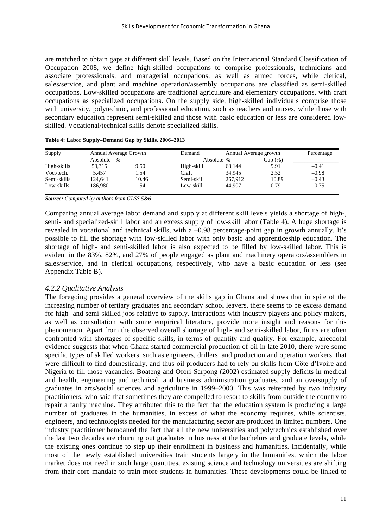are matched to obtain gaps at different skill levels. Based on the International Standard Classification of Occupation 2008, we define high-skilled occupations to comprise professionals, technicians and associate professionals, and managerial occupations, as well as armed forces, while clerical, sales/service, and plant and machine operation/assembly occupations are classified as semi-skilled occupations. Low-skilled occupations are traditional agriculture and elementary occupations, with craft occupations as specialized occupations. On the supply side, high-skilled individuals comprise those with university, polytechnic, and professional education, such as teachers and nurses, while those with secondary education represent semi-skilled and those with basic education or less are considered lowskilled. Vocational/technical skills denote specialized skills.

| Supply      |                  | Annual Average Growth |            |            | Annual Average growth |         |
|-------------|------------------|-----------------------|------------|------------|-----------------------|---------|
|             | Absolute<br>$\%$ |                       |            | Absolute % | Gap $(\%)$            |         |
| High-skills | 59.315           | 9.50                  | High-skill | 68.144     | 9.91                  | $-0.41$ |
| Voc./tech.  | 5.457            | 1.54                  | Craft      | 34.945     | 2.52                  | $-0.98$ |
| Semi-skills | 124.641          | 10.46                 | Semi-skill | 267.912    | 10.89                 | $-0.43$ |
| Low-skills  | 186.980          | 1.54                  | Low-skill  | 44,907     | 0.79                  | 0.75    |

|  | Table 4: Labor Supply-Demand Gap by Skills, 2006-2013 |  |  |  |  |
|--|-------------------------------------------------------|--|--|--|--|
|--|-------------------------------------------------------|--|--|--|--|

*Source: Computed by authors from GLSS 5&6*

Comparing annual average labor demand and supply at different skill levels yields a shortage of high-, semi- and specialized-skill labor and an excess supply of low-skill labor (Table 4). A huge shortage is revealed in vocational and technical skills, with a –0.98 percentage-point gap in growth annually. It's possible to fill the shortage with low-skilled labor with only basic and apprenticeship education. The shortage of high- and semi-skilled labor is also expected to be filled by low-skilled labor. This is evident in the 83%, 82%, and 27% of people engaged as plant and machinery operators/assemblers in sales/service, and in clerical occupations, respectively, who have a basic education or less (see Appendix Table B).

#### *4.2.2 Qualitative Analysis*

The foregoing provides a general overview of the skills gap in Ghana and shows that in spite of the increasing number of tertiary graduates and secondary school leavers, there seems to be excess demand for high- and semi-skilled jobs relative to supply. Interactions with industry players and policy makers, as well as consultation with some empirical literature, provide more insight and reasons for this phenomenon. Apart from the observed overall shortage of high- and semi-skilled labor, firms are often confronted with shortages of specific skills, in terms of quantity and quality. For example, anecdotal evidence suggests that when Ghana started commercial production of oil in late 2010, there were some specific types of skilled workers, such as engineers, drillers, and production and operation workers, that were difficult to find domestically, and thus oil producers had to rely on skills from Côte d'Ivoire and Nigeria to fill those vacancies. Boateng and Ofori-Sarpong (2002) estimated supply deficits in medical and health, engineering and technical, and business administration graduates, and an oversupply of graduates in arts/social sciences and agriculture in 1999–2000. This was reiterated by two industry practitioners, who said that sometimes they are compelled to resort to skills from outside the country to repair a faulty machine. They attributed this to the fact that the education system is producing a large number of graduates in the humanities, in excess of what the economy requires, while scientists, engineers, and technologists needed for the manufacturing sector are produced in limited numbers. One industry practitioner bemoaned the fact that all the new universities and polytechnics established over the last two decades are churning out graduates in business at the bachelors and graduate levels, while the existing ones continue to step up their enrollment in business and humanities. Incidentally, while most of the newly established universities train students largely in the humanities, which the labor market does not need in such large quantities, existing science and technology universities are shifting from their core mandate to train more students in humanities. These developments could be linked to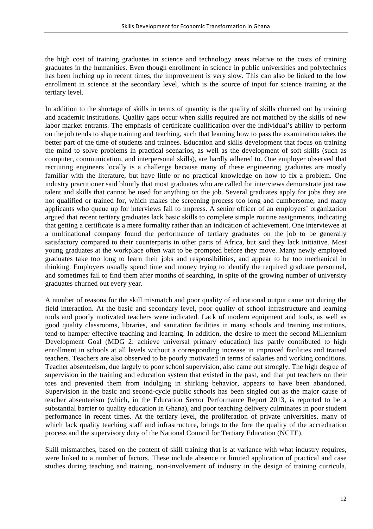the high cost of training graduates in science and technology areas relative to the costs of training graduates in the humanities. Even though enrollment in science in public universities and polytechnics has been inching up in recent times, the improvement is very slow. This can also be linked to the low enrollment in science at the secondary level, which is the source of input for science training at the tertiary level.

In addition to the shortage of skills in terms of quantity is the quality of skills churned out by training and academic institutions. Quality gaps occur when skills required are not matched by the skills of new labor market entrants. The emphasis of certificate qualification over the individual's ability to perform on the job tends to shape training and teaching, such that learning how to pass the examination takes the better part of the time of students and trainees. Education and skills development that focus on training the mind to solve problems in practical scenarios, as well as the development of soft skills (such as computer, communication, and interpersonal skills), are hardly adhered to. One employer observed that recruiting engineers locally is a challenge because many of these engineering graduates are mostly familiar with the literature, but have little or no practical knowledge on how to fix a problem. One industry practitioner said bluntly that most graduates who are called for interviews demonstrate just raw talent and skills that cannot be used for anything on the job. Several graduates apply for jobs they are not qualified or trained for, which makes the screening process too long and cumbersome, and many applicants who queue up for interviews fail to impress. A senior officer of an employers' organization argued that recent tertiary graduates lack basic skills to complete simple routine assignments, indicating that getting a certificate is a mere formality rather than an indication of achievement. One interviewee at a multinational company found the performance of tertiary graduates on the job to be generally satisfactory compared to their counterparts in other parts of Africa, but said they lack initiative. Most young graduates at the workplace often wait to be prompted before they move. Many newly employed graduates take too long to learn their jobs and responsibilities, and appear to be too mechanical in thinking. Employers usually spend time and money trying to identify the required graduate personnel, and sometimes fail to find them after months of searching, in spite of the growing number of university graduates churned out every year.

A number of reasons for the skill mismatch and poor quality of educational output came out during the field interaction. At the basic and secondary level, poor quality of school infrastructure and learning tools and poorly motivated teachers were indicated. Lack of modern equipment and tools, as well as good quality classrooms, libraries, and sanitation facilities in many schools and training institutions, tend to hamper effective teaching and learning. In addition, the desire to meet the second Millennium Development Goal (MDG 2: achieve universal primary education) has partly contributed to high enrollment in schools at all levels without a corresponding increase in improved facilities and trained teachers. Teachers are also observed to be poorly motivated in terms of salaries and working conditions. Teacher absenteeism, due largely to poor school supervision, also came out strongly. The high degree of supervision in the training and education system that existed in the past, and that put teachers on their toes and prevented them from indulging in shirking behavior, appears to have been abandoned. Supervision in the basic and second-cycle public schools has been singled out as the major cause of teacher absenteeism (which, in the Education Sector Performance Report 2013, is reported to be a substantial barrier to quality education in Ghana), and poor teaching delivery culminates in poor student performance in recent times. At the tertiary level, the proliferation of private universities, many of which lack quality teaching staff and infrastructure, brings to the fore the quality of the accreditation process and the supervisory duty of the National Council for Tertiary Education (NCTE).

Skill mismatches, based on the content of skill training that is at variance with what industry requires, were linked to a number of factors. These include absence or limited application of practical and case studies during teaching and training, non-involvement of industry in the design of training curricula,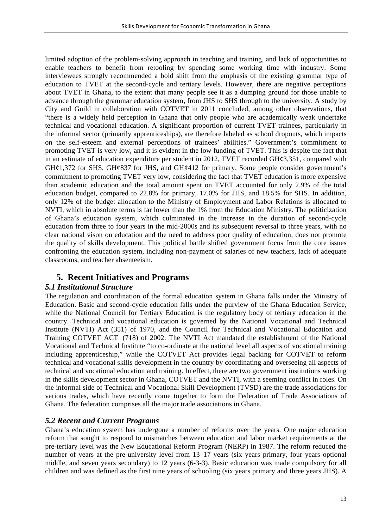limited adoption of the problem-solving approach in teaching and training, and lack of opportunities to enable teachers to benefit from retooling by spending some working time with industry. Some interviewees strongly recommended a bold shift from the emphasis of the existing grammar type of education to TVET at the second-cycle and tertiary levels. However, there are negative perceptions about TVET in Ghana, to the extent that many people see it as a dumping ground for those unable to advance through the grammar education system, from JHS to SHS through to the university. A study by City and Guild in collaboration with COTVET in 2011 concluded, among other observations, that "there is a widely held perception in Ghana that only people who are academically weak undertake technical and vocational education. A significant proportion of current TVET trainees, particularly in the informal sector (primarily apprenticeships), are therefore labeled as school dropouts, which impacts on the self-esteem and external perceptions of trainees' abilities." Government's commitment to promoting TVET is very low, and it is evident in the low funding of TVET. This is despite the fact that in an estimate of education expenditure per student in 2012, TVET recorded GH¢3,351, compared with GH¢1,372 for SHS, GH¢837 for JHS, and GH¢412 for primary. Some people consider government's commitment to promoting TVET very low, considering the fact that TVET education is more expensive than academic education and the total amount spent on TVET accounted for only 2.9% of the total education budget, compared to 22.8% for primary, 17.0% for JHS, and 18.5% for SHS. In addition, only 12% of the budget allocation to the Ministry of Employment and Labor Relations is allocated to NVTI, which in absolute terms is far lower than the 1% from the Education Ministry. The politicization of Ghana's education system, which culminated in the increase in the duration of second-cycle education from three to four years in the mid-2000s and its subsequent reversal to three years, with no clear national vison on education and the need to address poor quality of education, does not promote the quality of skills development. This political battle shifted government focus from the core issues confronting the education system, including non-payment of salaries of new teachers, lack of adequate classrooms, and teacher absenteeism.

## **5. Recent Initiatives and Programs**

## *5.1 Institutional Structure*

The regulation and coordination of the formal education system in Ghana falls under the Ministry of Education. Basic and second-cycle education falls under the purview of the Ghana Education Service, while the National Council for Tertiary Education is the regulatory body of tertiary education in the country. Technical and vocational education is governed by the National Vocational and Technical Institute (NVTI) Act (351) of 1970, and the Council for Technical and Vocational Education and Training COTVET ACT (718) of 2002. The NVTI Act mandated the establishment of the National Vocational and Technical Institute "to co-ordinate at the national level all aspects of vocational training including apprenticeship," while the COTVET Act provides legal backing for COTVET to reform technical and vocational skills development in the country by coordinating and overseeing all aspects of technical and vocational education and training. In effect, there are two government institutions working in the skills development sector in Ghana, COTVET and the NVTI, with a seeming conflict in roles. On the informal side of Technical and Vocational Skill Development (TVSD) are the trade associations for various trades, which have recently come together to form the Federation of Trade Associations of Ghana. The federation comprises all the major trade associations in Ghana.

## *5.2 Recent and Current Programs*

Ghana's education system has undergone a number of reforms over the years. One major education reform that sought to respond to mismatches between education and labor market requirements at the pre-tertiary level was the New Educational Reform Program (NERP) in 1987. The reform reduced the number of years at the pre-university level from 13–17 years (six years primary, four years optional middle, and seven years secondary) to 12 years (6-3-3). Basic education was made compulsory for all children and was defined as the first nine years of schooling (six years primary and three years JHS). A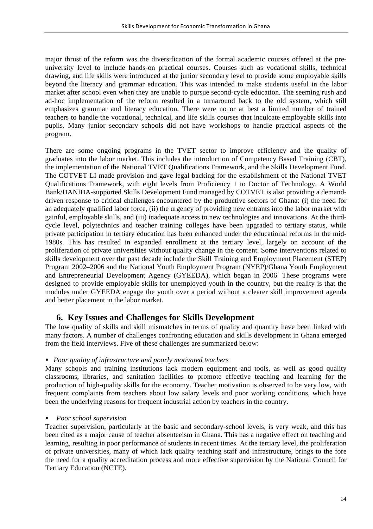major thrust of the reform was the diversification of the formal academic courses offered at the preuniversity level to include hands-on practical courses. Courses such as vocational skills, technical drawing, and life skills were introduced at the junior secondary level to provide some employable skills beyond the literacy and grammar education. This was intended to make students useful in the labor market after school even when they are unable to pursue second-cycle education. The seeming rush and ad-hoc implementation of the reform resulted in a turnaround back to the old system, which still emphasizes grammar and literacy education. There were no or at best a limited number of trained teachers to handle the vocational, technical, and life skills courses that inculcate employable skills into pupils. Many junior secondary schools did not have workshops to handle practical aspects of the program.

There are some ongoing programs in the TVET sector to improve efficiency and the quality of graduates into the labor market. This includes the introduction of Competency Based Training (CBT), the implementation of the National TVET Qualifications Framework, and the Skills Development Fund. The COTVET LI made provision and gave legal backing for the establishment of the National TVET Qualifications Framework, with eight levels from Proficiency 1 to Doctor of Technology. A World Bank/DANIDA-supported Skills Development Fund managed by COTVET is also providing a demanddriven response to critical challenges encountered by the productive sectors of Ghana: (i) the need for an adequately qualified labor force, (ii) the urgency of providing new entrants into the labor market with gainful, employable skills, and (iii) inadequate access to new technologies and innovations. At the thirdcycle level, polytechnics and teacher training colleges have been upgraded to tertiary status, while private participation in tertiary education has been enhanced under the educational reforms in the mid-1980s. This has resulted in expanded enrollment at the tertiary level, largely on account of the proliferation of private universities without quality change in the content. Some interventions related to skills development over the past decade include the Skill Training and Employment Placement (STEP) Program 2002–2006 and the National Youth Employment Program (NYEP)/Ghana Youth Employment and Entrepreneurial Development Agency (GYEEDA), which began in 2006. These programs were designed to provide employable skills for unemployed youth in the country, but the reality is that the modules under GYEEDA engage the youth over a period without a clearer skill improvement agenda and better placement in the labor market.

## **6. Key Issues and Challenges for Skills Development**

The low quality of skills and skill mismatches in terms of quality and quantity have been linked with many factors. A number of challenges confronting education and skills development in Ghana emerged from the field interviews. Five of these challenges are summarized below:

#### § *Poor quality of infrastructure and poorly motivated teachers*

Many schools and training institutions lack modern equipment and tools, as well as good quality classrooms, libraries, and sanitation facilities to promote effective teaching and learning for the production of high-quality skills for the economy. Teacher motivation is observed to be very low, with frequent complaints from teachers about low salary levels and poor working conditions, which have been the underlying reasons for frequent industrial action by teachers in the country.

#### ■ *Poor school supervision*

Teacher supervision, particularly at the basic and secondary-school levels, is very weak, and this has been cited as a major cause of teacher absenteeism in Ghana. This has a negative effect on teaching and learning, resulting in poor performance of students in recent times. At the tertiary level, the proliferation of private universities, many of which lack quality teaching staff and infrastructure, brings to the fore the need for a quality accreditation process and more effective supervision by the National Council for Tertiary Education (NCTE).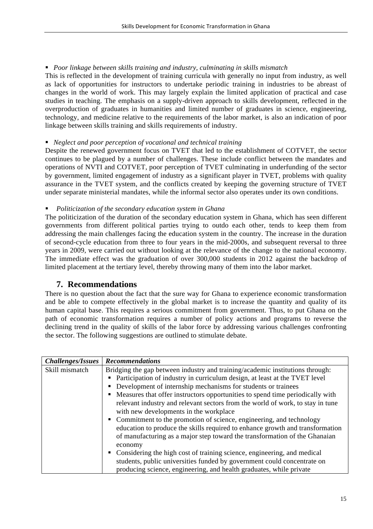#### § *Poor linkage between skills training and industry, culminating in skills mismatch*

This is reflected in the development of training curricula with generally no input from industry, as well as lack of opportunities for instructors to undertake periodic training in industries to be abreast of changes in the world of work. This may largely explain the limited application of practical and case studies in teaching. The emphasis on a supply-driven approach to skills development, reflected in the overproduction of graduates in humanities and limited number of graduates in science, engineering, technology, and medicine relative to the requirements of the labor market, is also an indication of poor linkage between skills training and skills requirements of industry.

#### § *Neglect and poor perception of vocational and technical training*

Despite the renewed government focus on TVET that led to the establishment of COTVET, the sector continues to be plagued by a number of challenges. These include conflict between the mandates and operations of NVTI and COTVET, poor perception of TVET culminating in underfunding of the sector by government, limited engagement of industry as a significant player in TVET, problems with quality assurance in the TVET system, and the conflicts created by keeping the governing structure of TVET under separate ministerial mandates, while the informal sector also operates under its own conditions.

#### § *Politicization of the secondary education system in Ghana*

The politicization of the duration of the secondary education system in Ghana, which has seen different governments from different political parties trying to outdo each other, tends to keep them from addressing the main challenges facing the education system in the country. The increase in the duration of second-cycle education from three to four years in the mid-2000s, and subsequent reversal to three years in 2009, were carried out without looking at the relevance of the change to the national economy. The immediate effect was the graduation of over 300,000 students in 2012 against the backdrop of limited placement at the tertiary level, thereby throwing many of them into the labor market.

## **7. Recommendations**

There is no question about the fact that the sure way for Ghana to experience economic transformation and be able to compete effectively in the global market is to increase the quantity and quality of its human capital base. This requires a serious commitment from government. Thus, to put Ghana on the path of economic transformation requires a number of policy actions and programs to reverse the declining trend in the quality of skills of the labor force by addressing various challenges confronting the sector. The following suggestions are outlined to stimulate debate.

| <b>Challenges/Issues</b> | <b>Recommendations</b>                                                             |
|--------------------------|------------------------------------------------------------------------------------|
| Skill mismatch           | Bridging the gap between industry and training/academic institutions through:      |
|                          | Participation of industry in curriculum design, at least at the TVET level         |
|                          | Development of internship mechanisms for students or trainees<br>٠                 |
|                          | Measures that offer instructors opportunities to spend time periodically with<br>٠ |
|                          | relevant industry and relevant sectors from the world of work, to stay in tune     |
|                          | with new developments in the workplace                                             |
|                          | • Commitment to the promotion of science, engineering, and technology              |
|                          | education to produce the skills required to enhance growth and transformation      |
|                          | of manufacturing as a major step toward the transformation of the Ghanaian         |
|                          | economy                                                                            |
|                          | Considering the high cost of training science, engineering, and medical<br>٠       |
|                          | students, public universities funded by government could concentrate on            |
|                          | producing science, engineering, and health graduates, while private                |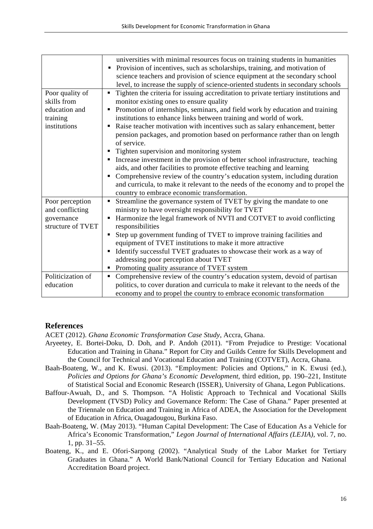|                   | universities with minimal resources focus on training students in humanities             |
|-------------------|------------------------------------------------------------------------------------------|
|                   | Provision of incentives, such as scholarships, training, and motivation of               |
|                   | science teachers and provision of science equipment at the secondary school              |
|                   | level, to increase the supply of science-oriented students in secondary schools          |
| Poor quality of   | Tighten the criteria for issuing accreditation to private tertiary institutions and<br>٠ |
| skills from       | monitor existing ones to ensure quality                                                  |
| education and     | Promotion of internships, seminars, and field work by education and training<br>٠        |
| training          | institutions to enhance links between training and world of work.                        |
| institutions      | Raise teacher motivation with incentives such as salary enhancement, better<br>٠         |
|                   | pension packages, and promotion based on performance rather than on length               |
|                   | of service.                                                                              |
|                   | Tighten supervision and monitoring system<br>٠                                           |
|                   | • Increase investment in the provision of better school infrastructure, teaching         |
|                   | aids, and other facilities to promote effective teaching and learning                    |
|                   | Comprehensive review of the country's education system, including duration<br>٠          |
|                   | and curricula, to make it relevant to the needs of the economy and to propel the         |
|                   | country to embrace economic transformation.                                              |
| Poor perception   | Streamline the governance system of TVET by giving the mandate to one<br>٠               |
| and conflicting   | ministry to have oversight responsibility for TVET                                       |
| governance        | Harmonize the legal framework of NVTI and COTVET to avoid conflicting<br>٠               |
| structure of TVET | responsibilities                                                                         |
|                   | Step up government funding of TVET to improve training facilities and<br>٠               |
|                   | equipment of TVET institutions to make it more attractive                                |
|                   | Identify successful TVET graduates to showcase their work as a way of<br>٠               |
|                   | addressing poor perception about TVET                                                    |
|                   | • Promoting quality assurance of TVET system                                             |
| Politicization of | Comprehensive review of the country's education system, devoid of partisan<br>٠          |
| education         | politics, to cover duration and curricula to make it relevant to the needs of the        |
|                   | economy and to propel the country to embrace economic transformation                     |

## **References**

ACET (2012). *Ghana Economic Transformation Case Study*, Accra, Ghana.

- Aryeetey, E. Bortei-Doku, D. Doh, and P. Andoh (2011). "From Prejudice to Prestige: Vocational Education and Training in Ghana." Report for City and Guilds Centre for Skills Development and the Council for Technical and Vocational Education and Training (COTVET), Accra, Ghana.
- Baah-Boateng, W., and K. Ewusi. (2013). "Employment: Policies and Options," in K. Ewusi (ed.), *Policies and Options for Ghana's Economic Development,* third edition, pp. 190–221, Institute of Statistical Social and Economic Research (ISSER), University of Ghana, Legon Publications.
- Baffour-Awuah, D., and S. Thompson. "A Holistic Approach to Technical and Vocational Skills Development (TVSD) Policy and Governance Reform: The Case of Ghana." Paper presented at the Triennale on Education and Training in Africa of ADEA, the Association for the Development of Education in Africa, Ouagadougou, Burkina Faso.
- Baah-Boateng, W. (May 2013). "Human Capital Development: The Case of Education As a Vehicle for Africa's Economic Transformation," *Legon Journal of International Affairs (LEJIA),* vol. 7, no. 1, pp. 31–55.
- Boateng, K., and E. Ofori-Sarpong (2002). "Analytical Study of the Labor Market for Tertiary Graduates in Ghana." A World Bank/National Council for Tertiary Education and National Accreditation Board project.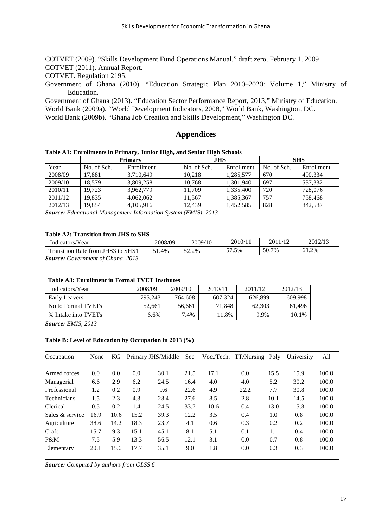COTVET (2009). "Skills Development Fund Operations Manual," draft zero, February 1, 2009.

COTVET (2011). Annual Report.

COTVET. Regulation 2195.

Government of Ghana (2010). "Education Strategic Plan 2010–2020: Volume 1," Ministry of Education.

Government of Ghana (2013). "Education Sector Performance Report, 2013," Ministry of Education.

World Bank (2009a). "World Development Indicators, 2008," World Bank, Washington, DC.

World Bank (2009b). "Ghana Job Creation and Skills Development," Washington DC.

#### **Appendices**

| Table A1: Enrollments in Primary, Junior High, and Senior High Schools |                |            |             |            |             |  |  |  |
|------------------------------------------------------------------------|----------------|------------|-------------|------------|-------------|--|--|--|
|                                                                        | <b>Primary</b> |            | .THS        |            | SHS         |  |  |  |
| Year                                                                   | No. of Sch.    | Enrollment | No. of Sch. | Enrollment | No. of Sch. |  |  |  |

| Year    | No. of Sch. | Enrollment | No. of Sch. | Enrollment | No. of Sch. | Enrollment |
|---------|-------------|------------|-------------|------------|-------------|------------|
| 2008/09 | 17.881      | 3.710.649  | 10.218      | 1.285.577  | 670         | 490.334    |
| 2009/10 | 18.579      | 3.809.258  | 10.768      | 1.301.940  | 697         | 537.332    |
| 2010/11 | 19.723      | 3.962.779  | 11.709      | 1.335.400  | 720         | 728,076    |
| 2011/12 | 19.835      | 4.062.062  | 11.567      | 1,385,367  | 757         | 758.468    |
| 2012/13 | 19.854      | 4.105.916  | 12.439      | 1,452,585  | 828         | 842,587    |

*Source: Educational Management Information System (EMIS), 2013*

#### **Table A2: Transition from JHS to SHS**

| Indicators/Year                     | 2008/09 | 2009/10             | 2010/11                | 2011/12 | 2012/13 |
|-------------------------------------|---------|---------------------|------------------------|---------|---------|
| Transition Rate from JHS3 to SHS1   | 1.4%    | $\epsilon$<br>52.2% | $\overline{r}$<br>7.5% | 50.7%   | 61.2%   |
| Source: Government of Chana<br>2013 |         |                     |                        |         |         |

*Source: Government of Ghana, 2013*

#### **Table A3: Enrollment in Formal TVET Institutes**

| Indicators/Year     | 2008/09 | 2009/10 | 2010/11 | 2011/12 | 2012/13 |
|---------------------|---------|---------|---------|---------|---------|
| Early Leavers       | 795.243 | 764,608 | 607.324 | 626.899 | 609.998 |
| No to Formal TVETs  | 52.661  | 56.661  | 71.848  | 62.303  | 61.496  |
| % Intake into TVETs | 6.6%    | 7.4%    | $1.8\%$ | 9.9%    | 10.1%   |

*Source: EMIS, 2013*

#### **Table B: Level of Education by Occupation in 2013 (%)**

| Occupation      | None | KG   |      | Primary JHS/Middle Sec |      |      | Voc./Tech. TT/Nursing Poly |      | University | All   |
|-----------------|------|------|------|------------------------|------|------|----------------------------|------|------------|-------|
| Armed forces    | 0.0  | 0.0  | 0.0  | 30.1                   | 21.5 | 17.1 | 0.0                        | 15.5 | 15.9       | 100.0 |
| Managerial      | 6.6  | 2.9  | 6.2  | 24.5                   | 16.4 | 4.0  | 4.0                        | 5.2  | 30.2       | 100.0 |
| Professional    | 1.2  | 0.2  | 0.9  | 9.6                    | 22.6 | 4.9  | 22.2                       | 7.7  | 30.8       | 100.0 |
| Technicians     | 1.5  | 2.3  | 4.3  | 28.4                   | 27.6 | 8.5  | 2.8                        | 10.1 | 14.5       | 100.0 |
| Clerical        | 0.5  | 0.2  | 1.4  | 24.5                   | 33.7 | 10.6 | 0.4                        | 13.0 | 15.8       | 100.0 |
| Sales & service | 16.9 | 10.6 | 15.2 | 39.3                   | 12.2 | 3.5  | 0.4                        | 1.0  | 0.8        | 100.0 |
| Agriculture     | 38.6 | 14.2 | 18.3 | 23.7                   | 4.1  | 0.6  | 0.3                        | 0.2  | 0.2        | 100.0 |
| Craft           | 15.7 | 9.3  | 15.1 | 45.1                   | 8.1  | 5.1  | 0.1                        | 1.1  | 0.4        | 100.0 |
| P&M             | 7.5  | 5.9  | 13.3 | 56.5                   | 12.1 | 3.1  | 0.0                        | 0.7  | 0.8        | 100.0 |
| Elementary      | 20.1 | 15.6 | 17.7 | 35.1                   | 9.0  | 1.8  | 0.0                        | 0.3  | 0.3        | 100.0 |

*Source: Computed by authors from GLSS 6*